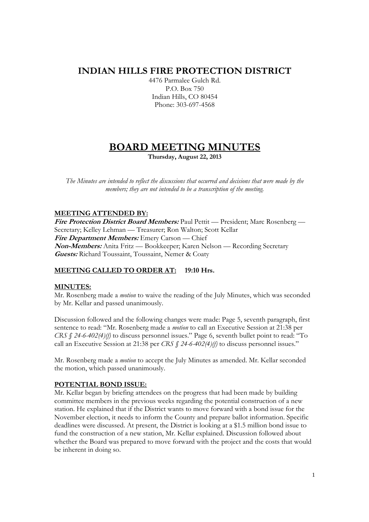# **INDIAN HILLS FIRE PROTECTION DISTRICT**

4476 Parmalee Gulch Rd. P.O. Box 750 Indian Hills, CO 80454 Phone: 303-697-4568

# **BOARD MEETING MINUTES**

**Thursday, August 22, 2013** 

*The Minutes are intended to reflect the discussions that occurred and decisions that were made by the members; they are not intended to be a transcription of the meeting.* 

## **MEETING ATTENDED BY:**

**Fire Protection District Board Members:** Paul Pettit — President; Marc Rosenberg — Secretary; Kelley Lehman — Treasurer; Ron Walton; Scott Kellar **Fire Department Members:** Emery Carson — Chief **Non-Members:** Anita Fritz — Bookkeeper; Karen Nelson — Recording Secretary **Guests:** Richard Toussaint, Toussaint, Nemer & Coaty

## **MEETING CALLED TO ORDER AT: 19:10 Hrs.**

## **MINUTES:**

Mr. Rosenberg made a *motion* to waive the reading of the July Minutes, which was seconded by Mr. Kellar and passed unanimously.

Discussion followed and the following changes were made: Page 5, seventh paragraph, first sentence to read: "Mr. Rosenberg made a *motion* to call an Executive Session at 21:38 per *CRS § 24-6-402(4)(f)* to discuss personnel issues." Page 6, seventh bullet point to read: "To call an Executive Session at 21:38 per *CRS § 24-6-402(4)(f)* to discuss personnel issues."

Mr. Rosenberg made a *motion* to accept the July Minutes as amended. Mr. Kellar seconded the motion, which passed unanimously.

## **POTENTIAL BOND ISSUE:**

Mr. Kellar began by briefing attendees on the progress that had been made by building committee members in the previous weeks regarding the potential construction of a new station. He explained that if the District wants to move forward with a bond issue for the November election, it needs to inform the County and prepare ballot information. Specific deadlines were discussed. At present, the District is looking at a \$1.5 million bond issue to fund the construction of a new station, Mr. Kellar explained. Discussion followed about whether the Board was prepared to move forward with the project and the costs that would be inherent in doing so.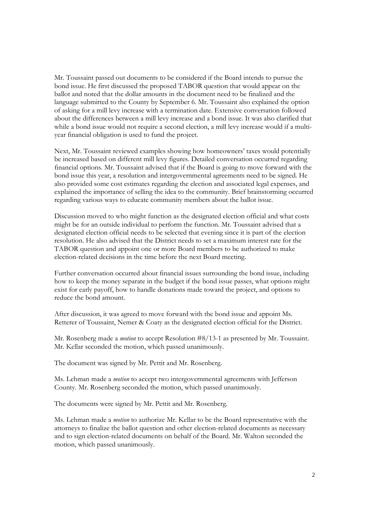Mr. Toussaint passed out documents to be considered if the Board intends to pursue the bond issue. He first discussed the proposed TABOR question that would appear on the ballot and noted that the dollar amounts in the document need to be finalized and the language submitted to the County by September 6. Mr. Toussaint also explained the option of asking for a mill levy increase with a termination date. Extensive conversation followed about the differences between a mill levy increase and a bond issue. It was also clarified that while a bond issue would not require a second election, a mill levy increase would if a multiyear financial obligation is used to fund the project.

Next, Mr. Toussaint reviewed examples showing how homeowners' taxes would potentially be increased based on different mill levy figures. Detailed conversation occurred regarding financial options. Mr. Toussaint advised that if the Board is going to move forward with the bond issue this year, a resolution and intergovernmental agreements need to be signed. He also provided some cost estimates regarding the election and associated legal expenses, and explained the importance of selling the idea to the community. Brief brainstorming occurred regarding various ways to educate community members about the ballot issue.

Discussion moved to who might function as the designated election official and what costs might be for an outside individual to perform the function. Mr. Toussaint advised that a designated election official needs to be selected that evening since it is part of the election resolution. He also advised that the District needs to set a maximum interest rate for the TABOR question and appoint one or more Board members to be authorized to make election-related decisions in the time before the next Board meeting.

Further conversation occurred about financial issues surrounding the bond issue, including how to keep the money separate in the budget if the bond issue passes, what options might exist for early payoff, how to handle donations made toward the project, and options to reduce the bond amount.

After discussion, it was agreed to move forward with the bond issue and appoint Ms. Retterer of Toussaint, Nemer & Coaty as the designated election official for the District.

Mr. Rosenberg made a *motion* to accept Resolution #8/13-1 as presented by Mr. Toussaint. Mr. Kellar seconded the motion, which passed unanimously.

The document was signed by Mr. Pettit and Mr. Rosenberg.

Ms. Lehman made a *motion* to accept two intergovernmental agreements with Jefferson County. Mr. Rosenberg seconded the motion, which passed unanimously.

The documents were signed by Mr. Pettit and Mr. Rosenberg.

Ms. Lehman made a *motion* to authorize Mr. Kellar to be the Board representative with the attorneys to finalize the ballot question and other election-related documents as necessary and to sign election-related documents on behalf of the Board. Mr. Walton seconded the motion, which passed unanimously.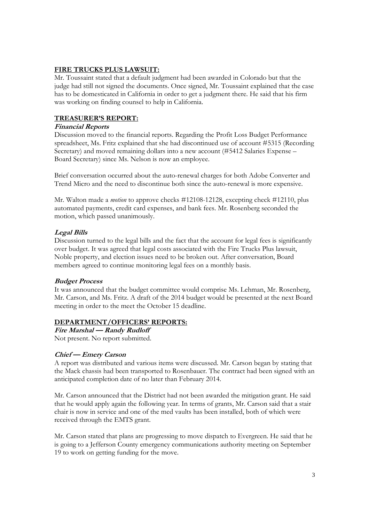## **FIRE TRUCKS PLUS LAWSUIT:**

Mr. Toussaint stated that a default judgment had been awarded in Colorado but that the judge had still not signed the documents. Once signed, Mr. Toussaint explained that the case has to be domesticated in California in order to get a judgment there. He said that his firm was working on finding counsel to help in California.

## **TREASURER'S REPORT:**

## **Financial Reports**

Discussion moved to the financial reports. Regarding the Profit Loss Budget Performance spreadsheet, Ms. Fritz explained that she had discontinued use of account #5315 (Recording Secretary) and moved remaining dollars into a new account (#5412 Salaries Expense – Board Secretary) since Ms. Nelson is now an employee.

Brief conversation occurred about the auto-renewal charges for both Adobe Converter and Trend Micro and the need to discontinue both since the auto-renewal is more expensive.

Mr. Walton made a *motion* to approve checks #12108-12128, excepting check #12110, plus automated payments, credit card expenses, and bank fees. Mr. Rosenberg seconded the motion, which passed unanimously.

## **Legal Bills**

Discussion turned to the legal bills and the fact that the account for legal fees is significantly over budget. It was agreed that legal costs associated with the Fire Trucks Plus lawsuit, Noble property, and election issues need to be broken out. After conversation, Board members agreed to continue monitoring legal fees on a monthly basis.

## **Budget Process**

It was announced that the budget committee would comprise Ms. Lehman, Mr. Rosenberg, Mr. Carson, and Ms. Fritz. A draft of the 2014 budget would be presented at the next Board meeting in order to the meet the October 15 deadline.

## **DEPARTMENT/OFFICERS' REPORTS:**

**Fire Marshal — Randy Rudloff** 

Not present. No report submitted.

## **Chief — Emery Carson**

A report was distributed and various items were discussed. Mr. Carson began by stating that the Mack chassis had been transported to Rosenbauer. The contract had been signed with an anticipated completion date of no later than February 2014.

Mr. Carson announced that the District had not been awarded the mitigation grant. He said that he would apply again the following year. In terms of grants, Mr. Carson said that a stair chair is now in service and one of the med vaults has been installed, both of which were received through the EMTS grant.

Mr. Carson stated that plans are progressing to move dispatch to Evergreen. He said that he is going to a Jefferson County emergency communications authority meeting on September 19 to work on getting funding for the move.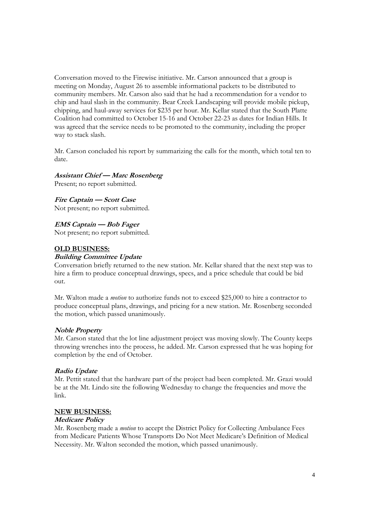Conversation moved to the Firewise initiative. Mr. Carson announced that a group is meeting on Monday, August 26 to assemble informational packets to be distributed to community members. Mr. Carson also said that he had a recommendation for a vendor to chip and haul slash in the community. Bear Creek Landscaping will provide mobile pickup, chipping, and haul-away services for \$235 per hour. Mr. Kellar stated that the South Platte Coalition had committed to October 15-16 and October 22-23 as dates for Indian Hills. It was agreed that the service needs to be promoted to the community, including the proper way to stack slash.

Mr. Carson concluded his report by summarizing the calls for the month, which total ten to date.

#### **Assistant Chief — Marc Rosenberg**

Present; no report submitted.

**Fire Captain — Scott Case**  Not present; no report submitted.

**EMS Captain — Bob Fager** Not present; no report submitted.

## **OLD BUSINESS:**

#### **Building Committee Update**

Conversation briefly returned to the new station. Mr. Kellar shared that the next step was to hire a firm to produce conceptual drawings, specs, and a price schedule that could be bid out.

Mr. Walton made a *motion* to authorize funds not to exceed \$25,000 to hire a contractor to produce conceptual plans, drawings, and pricing for a new station. Mr. Rosenberg seconded the motion, which passed unanimously.

#### **Noble Property**

Mr. Carson stated that the lot line adjustment project was moving slowly. The County keeps throwing wrenches into the process, he added. Mr. Carson expressed that he was hoping for completion by the end of October.

#### **Radio Update**

Mr. Pettit stated that the hardware part of the project had been completed. Mr. Grazi would be at the Mt. Lindo site the following Wednesday to change the frequencies and move the link.

#### **NEW BUSINESS:**

#### **Medicare Policy**

Mr. Rosenberg made a *motion* to accept the District Policy for Collecting Ambulance Fees from Medicare Patients Whose Transports Do Not Meet Medicare's Definition of Medical Necessity. Mr. Walton seconded the motion, which passed unanimously.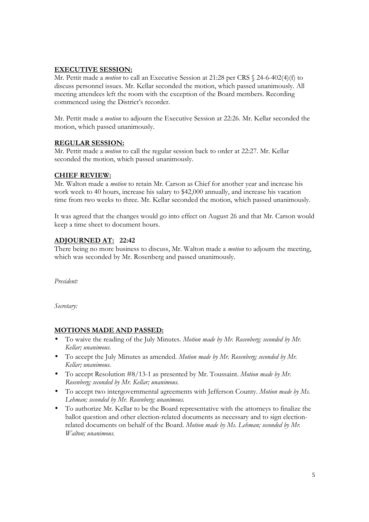## **EXECUTIVE SESSION:**

Mr. Pettit made a *motion* to call an Executive Session at 21:28 per CRS § 24-6-402(4)(f) to discuss personnel issues. Mr. Kellar seconded the motion, which passed unanimously. All meeting attendees left the room with the exception of the Board members. Recording commenced using the District's recorder.

Mr. Pettit made a *motion* to adjourn the Executive Session at 22:26. Mr. Kellar seconded the motion, which passed unanimously.

## **REGULAR SESSION:**

Mr. Pettit made a *motion* to call the regular session back to order at 22:27. Mr. Kellar seconded the motion, which passed unanimously.

## **CHIEF REVIEW:**

Mr. Walton made a *motion* to retain Mr. Carson as Chief for another year and increase his work week to 40 hours, increase his salary to \$42,000 annually, and increase his vacation time from two weeks to three. Mr. Kellar seconded the motion, which passed unanimously.

It was agreed that the changes would go into effect on August 26 and that Mr. Carson would keep a time sheet to document hours.

## **ADJOURNED AT: 22:42**

There being no more business to discuss, Mr. Walton made a *motion* to adjourn the meeting, which was seconded by Mr. Rosenberg and passed unanimously.

*President:* 

*Secretary:* 

## **MOTIONS MADE AND PASSED:**

- To waive the reading of the July Minutes. *Motion made by Mr. Rosenberg; seconded by Mr. Kellar; unanimous.*
- To accept the July Minutes as amended. *Motion made by Mr. Rosenberg; seconded by Mr. Kellar; unanimous.*
- To accept Resolution #8/13-1 as presented by Mr. Toussaint. *Motion made by Mr. Rosenberg; seconded by Mr. Kellar; unanimous.*
- To accept two intergovernmental agreements with Jefferson County. *Motion made by Ms. Lehman; seconded by Mr. Rosenberg; unanimous.*
- To authorize Mr. Kellar to be the Board representative with the attorneys to finalize the ballot question and other election-related documents as necessary and to sign electionrelated documents on behalf of the Board. *Motion made by Ms. Lehman; seconded by Mr. Walton; unanimous.*